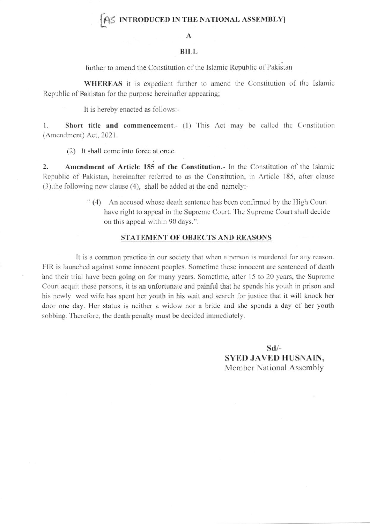## AS INTRODUCED IN THE NATIONAL ASSEMBLY

#### A

#### **BILL**

further to amend the Constitution of the Islamic Republic of Pakistan

WHEREAS it is expedient further to amend the Constitution of the Islamic Republic of Pakistan for the purpose hereinafter appearing;

It is hereby enacted as follows:-

Short title and commencement.- (1) This Act may be called the Constitution 1. (Amendment) Act, 2021.

(2) It shall come into force at once.

 $\overline{2}$ . Amendment of Article 185 of the Constitution.- In the Constitution of the Islamic Republic of Pakistan, hereinafter referred to as the Constitution, in Article 185, after clause (3), the following new clause (4), shall be added at the end namely:-

> "(4) An accused whose death sentence has been confirmed by the High Court have right to appeal in the Supreme Court. The Supreme Court shall decide on this appeal within 90 days.".

### STATEMENT OF OBJECTS AND REASONS

It is a common practice in our society that when a person is murdered for any reason. FIR is launched against some innocent peoples. Sometime these innocent are sentenced of death and their trial have been going on for many years. Sometime, after 15 to 20 years, the Supreme Court acquit these persons, it is an unfortunate and painful that he spends his youth in prison and his newly wed wife has spent her youth in his wait and search for justice that it will knock her door one day. Her status is neither a widow nor a bride and she spends a day of her youth sobbing. Therefore, the death penalty must be decided immediately.

> $Sd/-$ **SYED JAVED HUSNAIN,** Member National Assembly